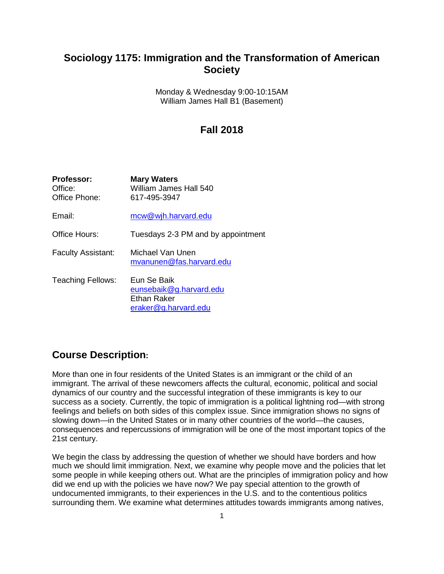# **Sociology 1175: Immigration and the Transformation of American Society**

Monday & Wednesday 9:00-10:15AM William James Hall B1 (Basement)

## **Fall 2018**

| <b>Professor:</b><br>Office:<br>Office Phone: | <b>Mary Waters</b><br>William James Hall 540<br>617-495-3947                  |
|-----------------------------------------------|-------------------------------------------------------------------------------|
| Email:                                        | mcw@wjh.harvard.edu                                                           |
| Office Hours:                                 | Tuesdays 2-3 PM and by appointment                                            |
| <b>Faculty Assistant:</b>                     | Michael Van Unen<br>mvanunen@fas.harvard.edu                                  |
| <b>Teaching Fellows:</b>                      | Eun Se Baik<br>eunsebaik@g.harvard.edu<br>Ethan Raker<br>eraker@g.harvard.edu |

## **Course Description:**

More than one in four residents of the United States is an immigrant or the child of an immigrant. The arrival of these newcomers affects the cultural, economic, political and social dynamics of our country and the successful integration of these immigrants is key to our success as a society. Currently, the topic of immigration is a political lightning rod—with strong feelings and beliefs on both sides of this complex issue. Since immigration shows no signs of slowing down—in the United States or in many other countries of the world—the causes, consequences and repercussions of immigration will be one of the most important topics of the 21st century.

We begin the class by addressing the question of whether we should have borders and how much we should limit immigration. Next, we examine why people move and the policies that let some people in while keeping others out. What are the principles of immigration policy and how did we end up with the policies we have now? We pay special attention to the growth of undocumented immigrants, to their experiences in the U.S. and to the contentious politics surrounding them. We examine what determines attitudes towards immigrants among natives,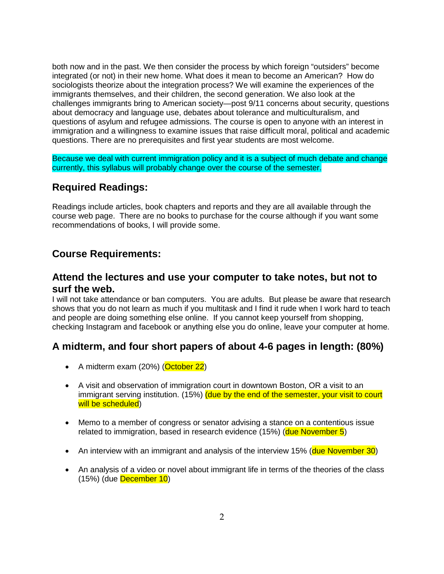both now and in the past. We then consider the process by which foreign "outsiders" become integrated (or not) in their new home. What does it mean to become an American? How do sociologists theorize about the integration process? We will examine the experiences of the immigrants themselves, and their children, the second generation. We also look at the challenges immigrants bring to American society—post 9/11 concerns about security, questions about democracy and language use, debates about tolerance and multiculturalism, and questions of asylum and refugee admissions. The course is open to anyone with an interest in immigration and a willingness to examine issues that raise difficult moral, political and academic questions. There are no prerequisites and first year students are most welcome.

Because we deal with current immigration policy and it is a subject of much debate and change currently, this syllabus will probably change over the course of the semester.

## **Required Readings:**

Readings include articles, book chapters and reports and they are all available through the course web page. There are no books to purchase for the course although if you want some recommendations of books, I will provide some.

## **Course Requirements:**

## **Attend the lectures and use your computer to take notes, but not to surf the web.**

I will not take attendance or ban computers. You are adults. But please be aware that research shows that you do not learn as much if you multitask and I find it rude when I work hard to teach and people are doing something else online. If you cannot keep yourself from shopping, checking Instagram and facebook or anything else you do online, leave your computer at home.

## **A midterm, and four short papers of about 4-6 pages in length: (80%)**

- A midterm exam (20%) (October 22)
- A visit and observation of immigration court in downtown Boston, OR a visit to an immigrant serving institution. (15%) (due by the end of the semester, your visit to court will be scheduled)
- Memo to a member of congress or senator advising a stance on a contentious issue related to immigration, based in research evidence (15%) (due November 5)
- An interview with an immigrant and analysis of the interview 15% (due November 30)
- An analysis of a video or novel about immigrant life in terms of the theories of the class (15%) (due December 10)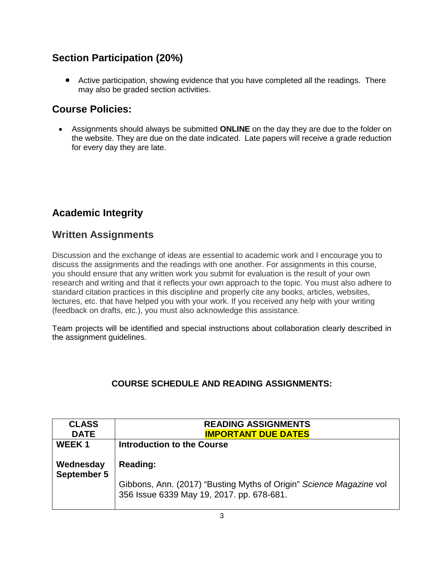# **Section Participation (20%)**

• Active participation, showing evidence that you have completed all the readings. There may also be graded section activities.

# **Course Policies:**

• Assignments should always be submitted **ONLINE** on the day they are due to the folder on the website. They are due on the date indicated. Late papers will receive a grade reduction for every day they are late.

# **Academic Integrity**

# **Written Assignments**

Discussion and the exchange of ideas are essential to academic work and I encourage you to discuss the assignments and the readings with one another. For assignments in this course, you should ensure that any written work you submit for evaluation is the result of your own research and writing and that it reflects your own approach to the topic. You must also adhere to standard citation practices in this discipline and properly cite any books, articles, websites, lectures, etc. that have helped you with your work. If you received any help with your writing (feedback on drafts, etc.), you must also acknowledge this assistance.

Team projects will be identified and special instructions about collaboration clearly described in the assignment guidelines.

## **COURSE SCHEDULE AND READING ASSIGNMENTS:**

| <b>CLASS</b><br><b>DATE</b> | <b>READING ASSIGNMENTS</b><br><b>IMPORTANT DUE DATES</b>                                                                     |
|-----------------------------|------------------------------------------------------------------------------------------------------------------------------|
| WEEK <sub>1</sub>           | Introduction to the Course                                                                                                   |
| Wednesday<br>September 5    | Reading:<br>Gibbons, Ann. (2017) "Busting Myths of Origin" Science Magazine vol<br>356 Issue 6339 May 19, 2017. pp. 678-681. |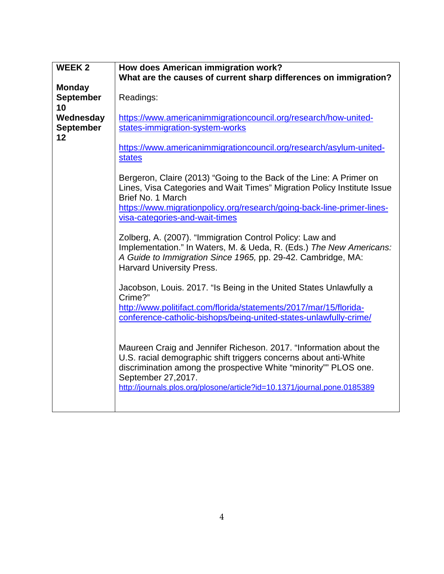| <b>WEEK2</b>                  | How does American immigration work?                                                                                                                                                                                                                                                                          |
|-------------------------------|--------------------------------------------------------------------------------------------------------------------------------------------------------------------------------------------------------------------------------------------------------------------------------------------------------------|
|                               | What are the causes of current sharp differences on immigration?                                                                                                                                                                                                                                             |
| <b>Monday</b>                 |                                                                                                                                                                                                                                                                                                              |
| <b>September</b>              | Readings:                                                                                                                                                                                                                                                                                                    |
| 10                            |                                                                                                                                                                                                                                                                                                              |
| Wednesday<br><b>September</b> | https://www.americanimmigrationcouncil.org/research/how-united-<br>states-immigration-system-works                                                                                                                                                                                                           |
| 12                            |                                                                                                                                                                                                                                                                                                              |
|                               | https://www.americanimmigrationcouncil.org/research/asylum-united-<br><b>states</b>                                                                                                                                                                                                                          |
|                               | Bergeron, Claire (2013) "Going to the Back of the Line: A Primer on<br>Lines, Visa Categories and Wait Times" Migration Policy Institute Issue<br>Brief No. 1 March                                                                                                                                          |
|                               | https://www.migrationpolicy.org/research/going-back-line-primer-lines-<br>visa-categories-and-wait-times                                                                                                                                                                                                     |
|                               | Zolberg, A. (2007). "Immigration Control Policy: Law and<br>Implementation." In Waters, M. & Ueda, R. (Eds.) The New Americans:<br>A Guide to Immigration Since 1965, pp. 29-42. Cambridge, MA:<br><b>Harvard University Press.</b>                                                                          |
|                               | Jacobson, Louis. 2017. "Is Being in the United States Unlawfully a<br>Crime?"                                                                                                                                                                                                                                |
|                               | http://www.politifact.com/florida/statements/2017/mar/15/florida-<br>conference-catholic-bishops/being-united-states-unlawfully-crime/                                                                                                                                                                       |
|                               | Maureen Craig and Jennifer Richeson. 2017. "Information about the<br>U.S. racial demographic shift triggers concerns about anti-White<br>discrimination among the prospective White "minority"" PLOS one.<br>September 27, 2017.<br>http://journals.plos.org/plosone/article?id=10.1371/journal.pone.0185389 |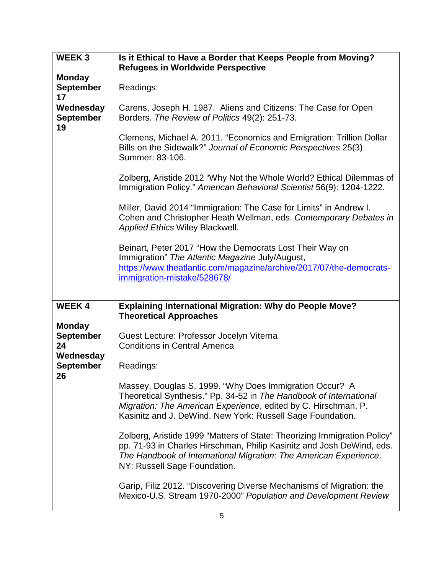| <b>WEEK3</b>                                         | Is it Ethical to Have a Border that Keeps People from Moving?                                                                                                                                                                                                 |
|------------------------------------------------------|---------------------------------------------------------------------------------------------------------------------------------------------------------------------------------------------------------------------------------------------------------------|
|                                                      | <b>Refugees in Worldwide Perspective</b>                                                                                                                                                                                                                      |
| <b>Monday</b><br><b>September</b><br>17              | Readings:                                                                                                                                                                                                                                                     |
| Wednesday<br><b>September</b><br>19                  | Carens, Joseph H. 1987. Aliens and Citizens: The Case for Open<br>Borders. The Review of Politics 49(2): 251-73.                                                                                                                                              |
|                                                      | Clemens, Michael A. 2011. "Economics and Emigration: Trillion Dollar<br>Bills on the Sidewalk?" Journal of Economic Perspectives 25(3)<br>Summer: 83-106.                                                                                                     |
|                                                      | Zolberg, Aristide 2012 "Why Not the Whole World? Ethical Dilemmas of<br>Immigration Policy." American Behavioral Scientist 56(9): 1204-1222.                                                                                                                  |
|                                                      | Miller, David 2014 "Immigration: The Case for Limits" in Andrew I.<br>Cohen and Christopher Heath Wellman, eds. Contemporary Debates in<br><b>Applied Ethics Wiley Blackwell.</b>                                                                             |
|                                                      | Beinart, Peter 2017 "How the Democrats Lost Their Way on<br>Immigration" The Atlantic Magazine July/August,<br>https://www.theatlantic.com/magazine/archive/2017/07/the-democrats-<br>immigration-mistake/528678/                                             |
| <b>WEEK4</b>                                         | <b>Explaining International Migration: Why do People Move?</b><br><b>Theoretical Approaches</b>                                                                                                                                                               |
| <b>Monday</b><br><b>September</b><br>24<br>Wednesday | Guest Lecture: Professor Jocelyn Viterna<br><b>Conditions in Central America</b>                                                                                                                                                                              |
| <b>September</b><br>26                               | Readings:                                                                                                                                                                                                                                                     |
|                                                      | Massey, Douglas S. 1999. "Why Does Immigration Occur? A<br>Theoretical Synthesis." Pp. 34-52 in The Handbook of International<br>Migration: The American Experience, edited by C. Hirschman, P.<br>Kasinitz and J. DeWind. New York: Russell Sage Foundation. |
|                                                      | Zolberg, Aristide 1999 "Matters of State: Theorizing Immigration Policy"<br>pp. 71-93 in Charles Hirschman, Philip Kasinitz and Josh DeWind, eds.<br>The Handbook of International Migration: The American Experience.<br>NY: Russell Sage Foundation.        |
|                                                      | Garip, Filiz 2012. "Discovering Diverse Mechanisms of Migration: the<br>Mexico-U.S. Stream 1970-2000" Population and Development Review                                                                                                                       |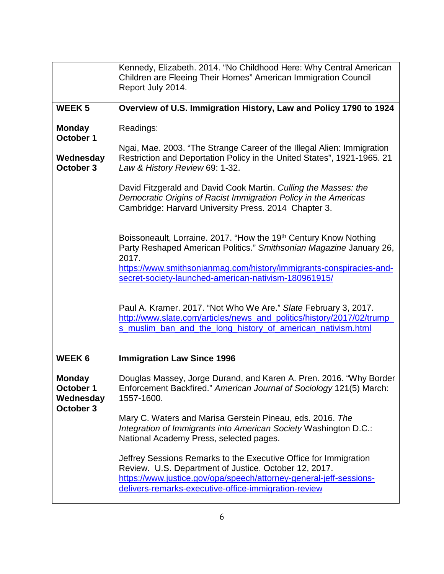|                                                      | Kennedy, Elizabeth. 2014. "No Childhood Here: Why Central American<br>Children are Fleeing Their Homes" American Immigration Council<br>Report July 2014.                                                                                                                       |
|------------------------------------------------------|---------------------------------------------------------------------------------------------------------------------------------------------------------------------------------------------------------------------------------------------------------------------------------|
| <b>WEEK5</b>                                         | Overview of U.S. Immigration History, Law and Policy 1790 to 1924                                                                                                                                                                                                               |
| <b>Monday</b><br>October 1                           | Readings:                                                                                                                                                                                                                                                                       |
| Wednesday<br>October 3                               | Ngai, Mae. 2003. "The Strange Career of the Illegal Alien: Immigration<br>Restriction and Deportation Policy in the United States", 1921-1965. 21<br>Law & History Review 69: 1-32.                                                                                             |
|                                                      | David Fitzgerald and David Cook Martin. Culling the Masses: the<br>Democratic Origins of Racist Immigration Policy in the Americas<br>Cambridge: Harvard University Press. 2014 Chapter 3.                                                                                      |
|                                                      | Boissoneault, Lorraine. 2017. "How the 19th Century Know Nothing<br>Party Reshaped American Politics." Smithsonian Magazine January 26,<br>2017.<br>https://www.smithsonianmag.com/history/immigrants-conspiracies-and-<br>secret-society-launched-american-nativism-180961915/ |
|                                                      | Paul A. Kramer. 2017. "Not Who We Are." Slate February 3, 2017.<br>http://www.slate.com/articles/news_and_politics/history/2017/02/trump_<br>s muslim ban and the long history of american nativism.html                                                                        |
| <b>WEEK6</b>                                         | <b>Immigration Law Since 1996</b>                                                                                                                                                                                                                                               |
| <b>Monday</b><br>October 1<br>Wednesday<br>October 3 | Douglas Massey, Jorge Durand, and Karen A. Pren. 2016. "Why Border<br>Enforcement Backfired." American Journal of Sociology 121(5) March:<br>1557-1600.                                                                                                                         |
|                                                      | Mary C. Waters and Marisa Gerstein Pineau, eds. 2016. The<br>Integration of Immigrants into American Society Washington D.C.:<br>National Academy Press, selected pages.                                                                                                        |
|                                                      | Jeffrey Sessions Remarks to the Executive Office for Immigration<br>Review. U.S. Department of Justice. October 12, 2017.<br>https://www.justice.gov/opa/speech/attorney-general-jeff-sessions-<br>delivers-remarks-executive-office-immigration-review                         |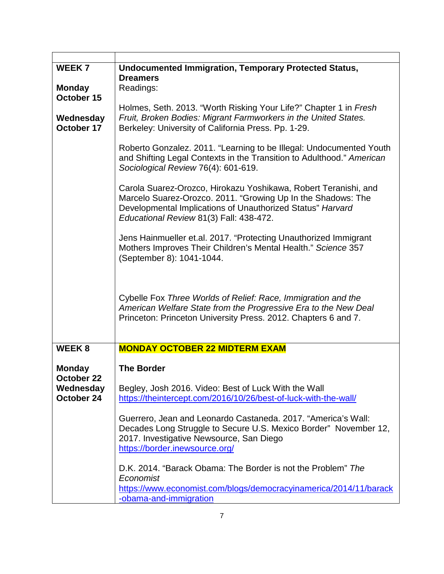| <b>WEEK7</b><br><b>Monday</b><br>October 15 | <b>Undocumented Immigration, Temporary Protected Status,</b><br><b>Dreamers</b><br>Readings:                                                                                                                                             |
|---------------------------------------------|------------------------------------------------------------------------------------------------------------------------------------------------------------------------------------------------------------------------------------------|
| Wednesday<br>October 17                     | Holmes, Seth. 2013. "Worth Risking Your Life?" Chapter 1 in Fresh<br>Fruit, Broken Bodies: Migrant Farmworkers in the United States.<br>Berkeley: University of California Press. Pp. 1-29.                                              |
|                                             | Roberto Gonzalez. 2011. "Learning to be Illegal: Undocumented Youth<br>and Shifting Legal Contexts in the Transition to Adulthood." American<br>Sociological Review 76(4): 601-619.                                                      |
|                                             | Carola Suarez-Orozco, Hirokazu Yoshikawa, Robert Teranishi, and<br>Marcelo Suarez-Orozco. 2011. "Growing Up In the Shadows: The<br>Developmental Implications of Unauthorized Status" Harvard<br>Educational Review 81(3) Fall: 438-472. |
|                                             | Jens Hainmueller et.al. 2017. "Protecting Unauthorized Immigrant<br>Mothers Improves Their Children's Mental Health." Science 357<br>(September 8): 1041-1044.                                                                           |
|                                             | Cybelle Fox Three Worlds of Relief: Race, Immigration and the<br>American Welfare State from the Progressive Era to the New Deal<br>Princeton: Princeton University Press. 2012. Chapters 6 and 7.                                       |
| <b>WEEK8</b>                                | <b>MONDAY OCTOBER 22 MIDTERM EXAM</b>                                                                                                                                                                                                    |
| <b>Monday</b>                               | <b>The Border</b>                                                                                                                                                                                                                        |
| October 22<br>Wednesday<br>October 24       | Begley, Josh 2016. Video: Best of Luck With the Wall<br>https://theintercept.com/2016/10/26/best-of-luck-with-the-wall/                                                                                                                  |
|                                             | Guerrero, Jean and Leonardo Castaneda. 2017. "America's Wall:<br>Decades Long Struggle to Secure U.S. Mexico Border" November 12,<br>2017. Investigative Newsource, San Diego<br>https://border.inewsource.org/                          |
|                                             | D.K. 2014. "Barack Obama: The Border is not the Problem" The<br>Economist<br>https://www.economist.com/blogs/democracyinamerica/2014/11/barack<br>-obama-and-immigration                                                                 |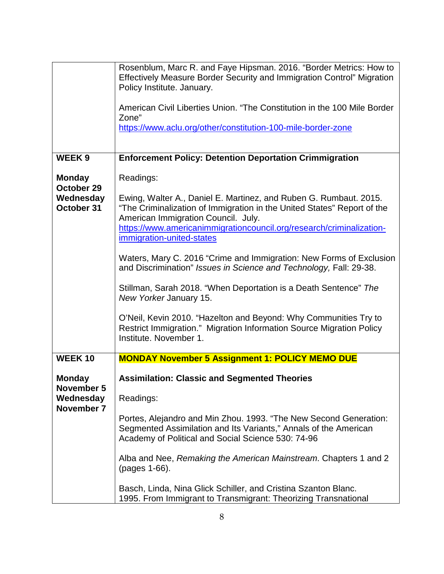|                                                        | Rosenblum, Marc R. and Faye Hipsman. 2016. "Border Metrics: How to<br>Effectively Measure Border Security and Immigration Control" Migration<br>Policy Institute. January.<br>American Civil Liberties Union. "The Constitution in the 100 Mile Border<br>Zone"<br>https://www.aclu.org/other/constitution-100-mile-border-zone                                                                                                                                                                                                                                                                                                                                                                           |
|--------------------------------------------------------|-----------------------------------------------------------------------------------------------------------------------------------------------------------------------------------------------------------------------------------------------------------------------------------------------------------------------------------------------------------------------------------------------------------------------------------------------------------------------------------------------------------------------------------------------------------------------------------------------------------------------------------------------------------------------------------------------------------|
| <b>WEEK9</b>                                           | <b>Enforcement Policy: Detention Deportation Crimmigration</b>                                                                                                                                                                                                                                                                                                                                                                                                                                                                                                                                                                                                                                            |
| <b>Monday</b><br>October 29                            | Readings:                                                                                                                                                                                                                                                                                                                                                                                                                                                                                                                                                                                                                                                                                                 |
| Wednesday<br>October 31                                | Ewing, Walter A., Daniel E. Martinez, and Ruben G. Rumbaut. 2015.<br>"The Criminalization of Immigration in the United States" Report of the<br>American Immigration Council. July.<br>https://www.americanimmigrationcouncil.org/research/criminalization-<br>immigration-united-states<br>Waters, Mary C. 2016 "Crime and Immigration: New Forms of Exclusion<br>and Discrimination" Issues in Science and Technology, Fall: 29-38.<br>Stillman, Sarah 2018. "When Deportation is a Death Sentence" The<br>New Yorker January 15.<br>O'Neil, Kevin 2010. "Hazelton and Beyond: Why Communities Try to<br>Restrict Immigration." Migration Information Source Migration Policy<br>Institute. November 1. |
| <b>WEEK10</b>                                          | <b>MONDAY November 5 Assignment 1: POLICY MEMO DUE</b>                                                                                                                                                                                                                                                                                                                                                                                                                                                                                                                                                                                                                                                    |
| <b>Monday</b><br>November 5<br>Wednesday<br>November 7 | <b>Assimilation: Classic and Segmented Theories</b><br>Readings:<br>Portes, Alejandro and Min Zhou. 1993. "The New Second Generation:<br>Segmented Assimilation and Its Variants," Annals of the American<br>Academy of Political and Social Science 530: 74-96<br>Alba and Nee, Remaking the American Mainstream. Chapters 1 and 2<br>(pages 1-66).<br>Basch, Linda, Nina Glick Schiller, and Cristina Szanton Blanc.<br>1995. From Immigrant to Transmigrant: Theorizing Transnational                                                                                                                                                                                                                  |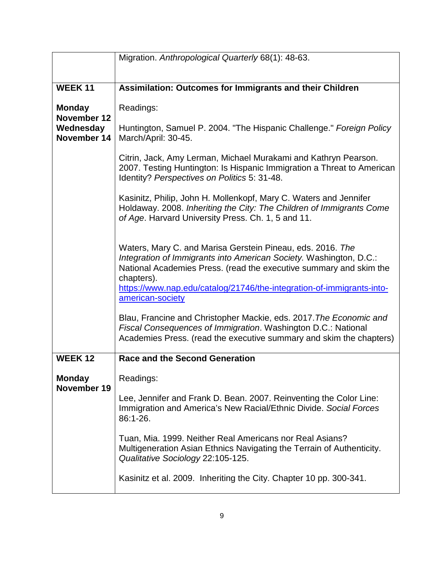|                              | Migration. Anthropological Quarterly 68(1): 48-63.                                                                                                                                                                                                                                                                |
|------------------------------|-------------------------------------------------------------------------------------------------------------------------------------------------------------------------------------------------------------------------------------------------------------------------------------------------------------------|
|                              |                                                                                                                                                                                                                                                                                                                   |
| <b>WEEK11</b>                | Assimilation: Outcomes for Immigrants and their Children                                                                                                                                                                                                                                                          |
| <b>Monday</b><br>November 12 | Readings:                                                                                                                                                                                                                                                                                                         |
| Wednesday<br>November 14     | Huntington, Samuel P. 2004. "The Hispanic Challenge." Foreign Policy<br>March/April: 30-45.                                                                                                                                                                                                                       |
|                              | Citrin, Jack, Amy Lerman, Michael Murakami and Kathryn Pearson.<br>2007. Testing Huntington: Is Hispanic Immigration a Threat to American<br>Identity? Perspectives on Politics 5: 31-48.                                                                                                                         |
|                              | Kasinitz, Philip, John H. Mollenkopf, Mary C. Waters and Jennifer<br>Holdaway. 2008. Inheriting the City: The Children of Immigrants Come<br>of Age. Harvard University Press. Ch. 1, 5 and 11.                                                                                                                   |
|                              | Waters, Mary C. and Marisa Gerstein Pineau, eds. 2016. The<br>Integration of Immigrants into American Society. Washington, D.C.:<br>National Academies Press. (read the executive summary and skim the<br>chapters).<br>https://www.nap.edu/catalog/21746/the-integration-of-immigrants-into-<br>american-society |
|                              | Blau, Francine and Christopher Mackie, eds. 2017. The Economic and<br>Fiscal Consequences of Immigration. Washington D.C.: National<br>Academies Press. (read the executive summary and skim the chapters)                                                                                                        |
| <b>WEEK12</b>                | <b>Race and the Second Generation</b>                                                                                                                                                                                                                                                                             |
| <b>Monday</b><br>November 19 | Readings:                                                                                                                                                                                                                                                                                                         |
|                              | Lee, Jennifer and Frank D. Bean. 2007. Reinventing the Color Line:<br>Immigration and America's New Racial/Ethnic Divide. Social Forces<br>86:1-26.                                                                                                                                                               |
|                              | Tuan, Mia. 1999. Neither Real Americans nor Real Asians?<br>Multigeneration Asian Ethnics Navigating the Terrain of Authenticity.<br>Qualitative Sociology 22:105-125.                                                                                                                                            |
|                              | Kasinitz et al. 2009. Inheriting the City. Chapter 10 pp. 300-341.                                                                                                                                                                                                                                                |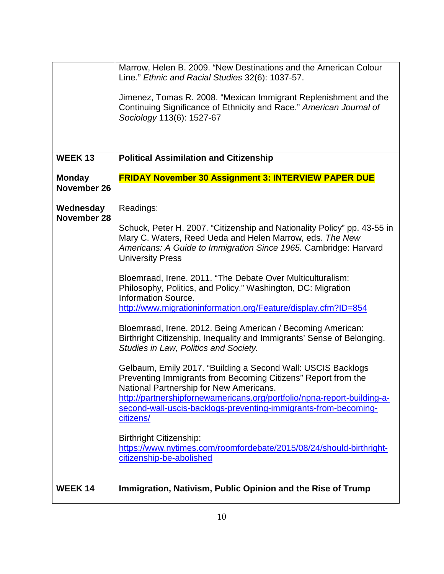|                              | Marrow, Helen B. 2009. "New Destinations and the American Colour<br>Line." Ethnic and Racial Studies 32(6): 1037-57.<br>Jimenez, Tomas R. 2008. "Mexican Immigrant Replenishment and the<br>Continuing Significance of Ethnicity and Race." American Journal of<br>Sociology 113(6): 1527-67                                                                                                                                                               |
|------------------------------|------------------------------------------------------------------------------------------------------------------------------------------------------------------------------------------------------------------------------------------------------------------------------------------------------------------------------------------------------------------------------------------------------------------------------------------------------------|
| <b>WEEK13</b>                | <b>Political Assimilation and Citizenship</b>                                                                                                                                                                                                                                                                                                                                                                                                              |
| <b>Monday</b><br>November 26 | <b>FRIDAY November 30 Assignment 3: INTERVIEW PAPER DUE</b>                                                                                                                                                                                                                                                                                                                                                                                                |
| Wednesday                    | Readings:                                                                                                                                                                                                                                                                                                                                                                                                                                                  |
| November 28                  | Schuck, Peter H. 2007. "Citizenship and Nationality Policy" pp. 43-55 in<br>Mary C. Waters, Reed Ueda and Helen Marrow, eds. The New<br>Americans: A Guide to Immigration Since 1965. Cambridge: Harvard<br><b>University Press</b><br>Bloemraad, Irene. 2011. "The Debate Over Multiculturalism:<br>Philosophy, Politics, and Policy." Washington, DC: Migration<br>Information Source.<br>http://www.migrationinformation.org/Feature/display.cfm?ID=854 |
|                              | Bloemraad, Irene. 2012. Being American / Becoming American:<br>Birthright Citizenship, Inequality and Immigrants' Sense of Belonging.<br>Studies in Law, Politics and Society.                                                                                                                                                                                                                                                                             |
|                              | Gelbaum, Emily 2017. "Building a Second Wall: USCIS Backlogs<br>Preventing Immigrants from Becoming Citizens" Report from the<br>National Partnership for New Americans.<br>http://partnershipfornewamericans.org/portfolio/npna-report-building-a-<br>second-wall-uscis-backlogs-preventing-immigrants-from-becoming-<br>citizens/<br><b>Birthright Citizenship:</b><br>https://www.nytimes.com/roomfordebate/2015/08/24/should-birthright-               |
|                              | citizenship-be-abolished                                                                                                                                                                                                                                                                                                                                                                                                                                   |
| <b>WEEK14</b>                | Immigration, Nativism, Public Opinion and the Rise of Trump                                                                                                                                                                                                                                                                                                                                                                                                |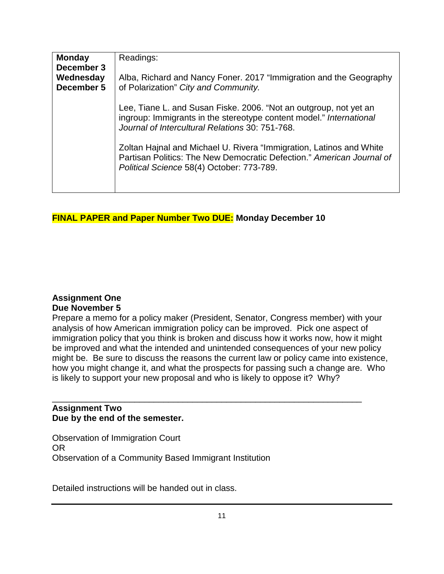| <b>Monday</b><br>December 3 | Readings:                                                                                                                                                                                   |
|-----------------------------|---------------------------------------------------------------------------------------------------------------------------------------------------------------------------------------------|
| Wednesday<br>December 5     | Alba, Richard and Nancy Foner. 2017 "Immigration and the Geography<br>of Polarization" City and Community.                                                                                  |
|                             | Lee, Tiane L. and Susan Fiske. 2006. "Not an outgroup, not yet an<br>ingroup: Immigrants in the stereotype content model." International<br>Journal of Intercultural Relations 30: 751-768. |
|                             | Zoltan Hajnal and Michael U. Rivera "Immigration, Latinos and White<br>Partisan Politics: The New Democratic Defection." American Journal of<br>Political Science 58(4) October: 773-789.   |

## **FINAL PAPER and Paper Number Two DUE: Monday December 10**

### **Assignment One Due November 5**

Prepare a memo for a policy maker (President, Senator, Congress member) with your analysis of how American immigration policy can be improved. Pick one aspect of immigration policy that you think is broken and discuss how it works now, how it might be improved and what the intended and unintended consequences of your new policy might be. Be sure to discuss the reasons the current law or policy came into existence, how you might change it, and what the prospects for passing such a change are. Who is likely to support your new proposal and who is likely to oppose it? Why?

### \_\_\_\_\_\_\_\_\_\_\_\_\_\_\_\_\_\_\_\_\_\_\_\_\_\_\_\_\_\_\_\_\_\_\_\_\_\_\_\_\_\_\_\_\_\_\_\_\_\_\_\_\_\_\_\_\_\_\_\_\_\_\_\_ **Assignment Two Due by the end of the semester.**

Observation of Immigration Court OR Observation of a Community Based Immigrant Institution

Detailed instructions will be handed out in class.